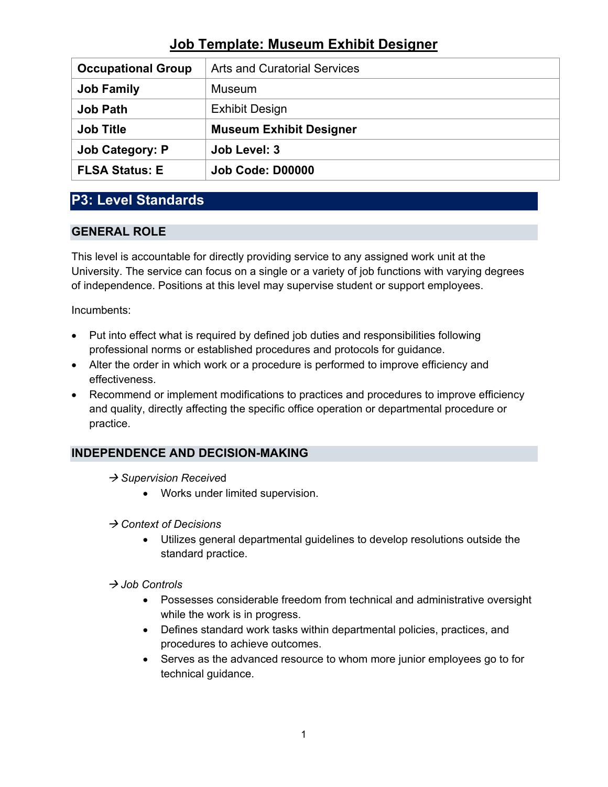| <b>Occupational Group</b> | <b>Arts and Curatorial Services</b> |
|---------------------------|-------------------------------------|
| <b>Job Family</b>         | Museum                              |
| <b>Job Path</b>           | <b>Exhibit Design</b>               |
|                           |                                     |
| <b>Job Title</b>          | <b>Museum Exhibit Designer</b>      |
| <b>Job Category: P</b>    | Job Level: 3                        |

# **P3: Level Standards**

# **GENERAL ROLE**

This level is accountable for directly providing service to any assigned work unit at the University. The service can focus on a single or a variety of job functions with varying degrees of independence. Positions at this level may supervise student or support employees.

Incumbents:

- Put into effect what is required by defined job duties and responsibilities following professional norms or established procedures and protocols for guidance.
- Alter the order in which work or a procedure is performed to improve efficiency and effectiveness.
- Recommend or implement modifications to practices and procedures to improve efficiency and quality, directly affecting the specific office operation or departmental procedure or practice.

# **INDEPENDENCE AND DECISION-MAKING**

- **→ Supervision Received** 
	- Works under limited supervision.
- *Context of Decisions*
	- Utilizes general departmental guidelines to develop resolutions outside the standard practice.

#### *Job Controls*

- Possesses considerable freedom from technical and administrative oversight while the work is in progress.
- Defines standard work tasks within departmental policies, practices, and procedures to achieve outcomes.
- Serves as the advanced resource to whom more junior employees go to for technical guidance.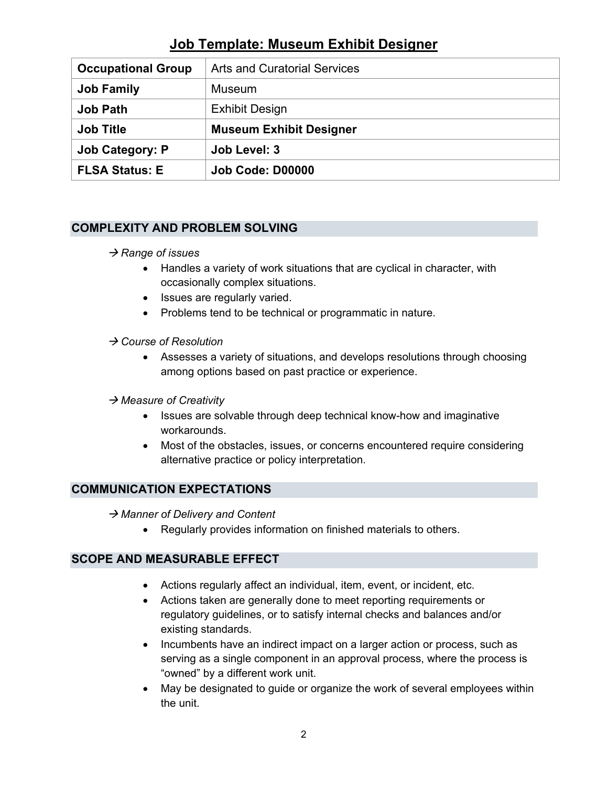| <b>Occupational Group</b> | <b>Arts and Curatorial Services</b> |
|---------------------------|-------------------------------------|
| <b>Job Family</b>         | <b>Museum</b>                       |
| <b>Job Path</b>           | <b>Exhibit Design</b>               |
|                           |                                     |
| <b>Job Title</b>          | <b>Museum Exhibit Designer</b>      |
| <b>Job Category: P</b>    | Job Level: 3                        |

# **COMPLEXITY AND PROBLEM SOLVING**

#### $→$  **Range of issues**

- Handles a variety of work situations that are cyclical in character, with occasionally complex situations.
- Issues are regularly varied.
- Problems tend to be technical or programmatic in nature.

### *Course of Resolution*

• Assesses a variety of situations, and develops resolutions through choosing among options based on past practice or experience.

#### *Measure of Creativity*

- Issues are solvable through deep technical know-how and imaginative workarounds.
- Most of the obstacles, issues, or concerns encountered require considering alternative practice or policy interpretation.

# **COMMUNICATION EXPECTATIONS**

→ Manner of Delivery and Content

• Regularly provides information on finished materials to others.

#### **SCOPE AND MEASURABLE EFFECT**

- Actions regularly affect an individual, item, event, or incident, etc.
- Actions taken are generally done to meet reporting requirements or regulatory guidelines, or to satisfy internal checks and balances and/or existing standards.
- Incumbents have an indirect impact on a larger action or process, such as serving as a single component in an approval process, where the process is "owned" by a different work unit.
- May be designated to guide or organize the work of several employees within the unit.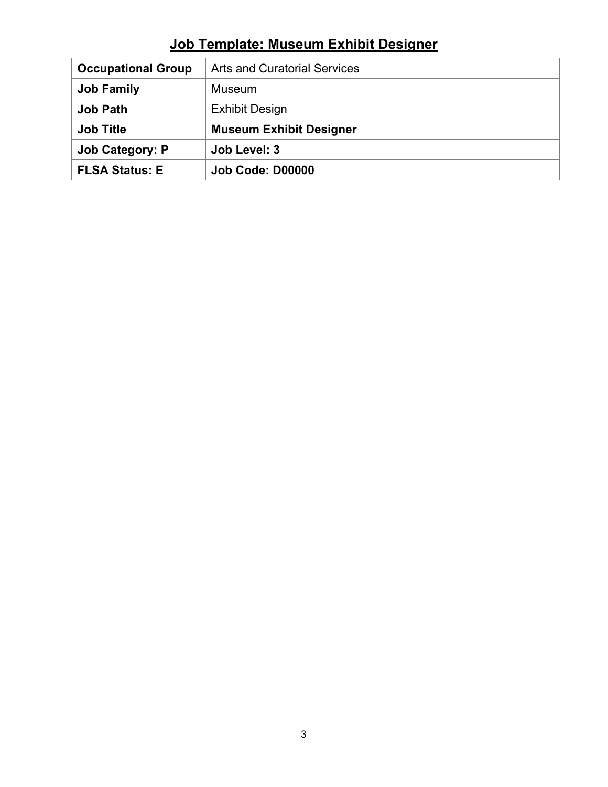| <b>Occupational Group</b> | <b>Arts and Curatorial Services</b> |
|---------------------------|-------------------------------------|
| <b>Job Family</b>         | Museum                              |
| <b>Job Path</b>           | <b>Exhibit Design</b>               |
| <b>Job Title</b>          | <b>Museum Exhibit Designer</b>      |
|                           |                                     |
| <b>Job Category: P</b>    | Job Level: 3                        |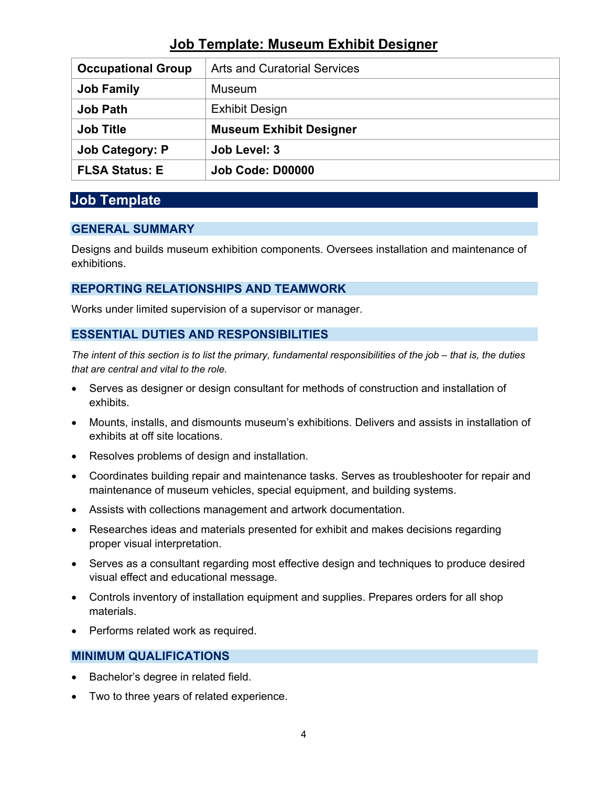| <b>Occupational Group</b> | <b>Arts and Curatorial Services</b> |
|---------------------------|-------------------------------------|
| <b>Job Family</b>         | <b>Museum</b>                       |
| <b>Job Path</b>           | <b>Exhibit Design</b>               |
|                           |                                     |
| <b>Job Title</b>          | <b>Museum Exhibit Designer</b>      |
| <b>Job Category: P</b>    | Job Level: 3                        |

# **Job Template**

# **GENERAL SUMMARY**

Designs and builds museum exhibition components. Oversees installation and maintenance of exhibitions.

# **REPORTING RELATIONSHIPS AND TEAMWORK**

Works under limited supervision of a supervisor or manager.

### **ESSENTIAL DUTIES AND RESPONSIBILITIES**

*The intent of this section is to list the primary, fundamental responsibilities of the job – that is, the duties that are central and vital to the role.*

- Serves as designer or design consultant for methods of construction and installation of exhibits.
- Mounts, installs, and dismounts museum's exhibitions. Delivers and assists in installation of exhibits at off site locations.
- Resolves problems of design and installation.
- Coordinates building repair and maintenance tasks. Serves as troubleshooter for repair and maintenance of museum vehicles, special equipment, and building systems.
- Assists with collections management and artwork documentation.
- Researches ideas and materials presented for exhibit and makes decisions regarding proper visual interpretation.
- Serves as a consultant regarding most effective design and techniques to produce desired visual effect and educational message.
- Controls inventory of installation equipment and supplies. Prepares orders for all shop materials.
- Performs related work as required.

# **MINIMUM QUALIFICATIONS**

- Bachelor's degree in related field.
- Two to three years of related experience.